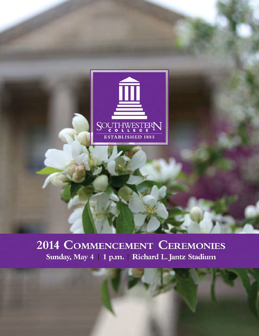

# 2014 COMMENCEMENT CEREMONIES Sunday, May 4 | 1 p.m. | Richard L. Jantz Stadium

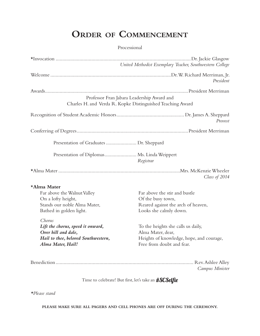# **Order of Commencement**

#### Processional

| United Methodist Exemplary Teacher, Southwestern College      |                                                               |
|---------------------------------------------------------------|---------------------------------------------------------------|
|                                                               | President                                                     |
|                                                               |                                                               |
| Professor Fran Jabara Leadership Award and                    |                                                               |
| Charles H. and Verda R. Kopke Distinguished Teaching Award    |                                                               |
|                                                               | Provost                                                       |
|                                                               |                                                               |
|                                                               |                                                               |
| Presentation of Diplomas Ms. Linda Weippert                   | Registrar                                                     |
|                                                               | Class of 2014                                                 |
| *Alma Mater                                                   |                                                               |
| Far above the Walnut Valley                                   | Far above the stir and bustle                                 |
| On a lofty height,<br>Stands our noble Alma Mater,            | Of the busy town,<br>Reared against the arch of heaven,       |
| Bathed in golden light.                                       | Looks she calmly down.                                        |
| Chorus                                                        |                                                               |
| Lift the chorus, speed it onward,                             | To the heights she calls us daily,                            |
| Over hill and dale,<br>Hail to thee, beloved Southwestern,    | Alma Mater, dear,<br>Heights of knowledge, hope, and courage, |
| Alma Mater, Hail!                                             | Free from doubt and fear.                                     |
|                                                               |                                                               |
|                                                               | Campus Minister                                               |
|                                                               |                                                               |
| Time to celebrate! But first, let's take an # <b>SCSelfie</b> |                                                               |

*\*Please stand*

**PLEASE MAKE SURE ALL PAGERS AND CELL PHONES ARE OFF DURING THE CEREMONY.**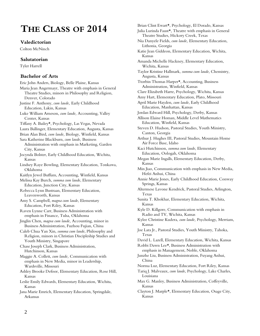# **THE CLASS OF 2014**

### **Valedictorian**

Colton McNinch

#### **Salutatorian**

Tyler Harrell

#### **Bachelor of Arts**

Eric John Anders, Biology, Belle Plaine, Kansas Maria Jean Angermayr, Theatre with emphasis in General Theatre Studies, minors in Philosophy and Religion, Denver, Colorado Justine F. Anthony, *cum laude,* Early Childhood Education, Lakin, Kansas Luke William Arneson, *cum laude,* Accounting, Valley Center, Kansas Tiffany A. Bailey\*, Psychology, Las Vegas, Nevada Laura Ballinger, Elementary Education, Augusta, Kansas Brian Alan Bird, *cum laude,* Biology, Winfield, Kansas Sara Katherine Blackburn, *cum laude,* Business Administration with emphasis in Marketing, Garden City, Kansas Jocynda Bolster, Early Childhood Education, Wichita, Kansas Lindsey Raye Bowling, Elementary Education, Tonkawa, Oklahoma Kaitlyn Jewel Buffum, Accounting, Winfield, Kansas Melissa Kay Burch, *summa cum laude*, Elementary Education, Junction City, Kansas Rebecca Lynn Bustraan, Elementary Education, Leavenworth, Kansas Amy S. Campbell, *magna cum laude*, Elementary Education, Fort Riley, Kansas Raven Lynne Carr, Business Administration with emphasis in Finance, Tulsa, Oklahoma Jinglin Chen, *magna cum laude,* Accounting, minor in Business Administration, Fuzhou Fujian, China Caleb Chua Yan Xin, *summa cum laude*, Philosophy and Religion, minors in Christian Discipleship Studies and Youth Ministry, Singapore Chase Joseph Clark, Business Administration, Hutchinson, Kansas Maggie A. Collett, *cum laude,* Communication with emphasis in New Media, minor in Leadership, Wardsville, Missouri Ashley Brooke Defoor, Elementary Education, Rose Hill, Kansas Leslie Emily Edwards, Elementary Education, Wichita, Kansas Jana Marie Emrich, Elementary Education, Springdale, Arkansas

Brian Clint Ewart\*, Psychology, El Dorado, Kansas Julia Lurinda Faust\*, Theatre with emphasis in General Theatre Studies, Hickory Creek, Texas Nia Danyele Fields, *cum laude,* Elementary Education, Lithonia, Georgia Katie Jean Giddeon, Elementary Education, Wichita, Kansas Amanda Michelle Hackney, Elementary Education, Wichita, Kansas Taylor Kristine Hallmark, *summa cum laude*, Chemistry, Augusta, Kansas Ttorbin Thomas Harper\*, Accounting, Business Administration, Winfield, Kansas Clare Elizabeth Harre, Psychology, Wichita, Kansas Amy Hart, Elementary Education, Plato, Missouri April Marie Hayden, *cum laude*, Early Childhood Education, Manhattan, Kansas Jordan Edward Hill, Psychology, Derby, Kansas Allison Elaine Homan, Middle Level Mathematics Education, Winfield, Kansas Steven D. Hudson, Pastoral Studies, Youth Ministry, Canton, Georgia Arthur J. Hughes III, Pastoral Studies, Mountain Home Air Force Base, Idaho Kaci Hutchinson, *summa cum laude*, Elementary Education, Oologah, Oklahoma Megan Marie Ingalls, Elementary Education, Derby, Kansas Min Jiao, Communication with emphasis in New Media, Hefei Anhui, China Annie Marie Jones, Early Childhood Education, Conway Springs, Kansas Altermese Lavone Kendrick, Pastoral Studies, Arlington, Texas Sunita T. Khokhar, Elementary Education, Wichita, Kansas Kyle D. Killgore, Communication with emphasis in Radio and TV, Wichita, Kansas Kylee Christine Kudera, *cum laude,* Psychology, Merriam, Kansas Joe Lara Jr., Pastoral Studies, Youth Ministry, Tahoka, Texas David L. Lazell, Elementary Education, Wichita, Kansas Robbi Dawn Lee\*, Business Administration with emphasis in Management, Noble, Oklahoma Junzhe Liu, Business Administration, Fuyang Anhui, China Norma Luz, Elementary Education, Fort Riley, Kansas Tariq J. Malveaux, *cum laude*, Psychology, Lake Charles, Louisiana Max G. Manley, Business Administration, Coffeyville, Kansas Clayton J. Marple\*, Elementary Education, Osage City, Kansas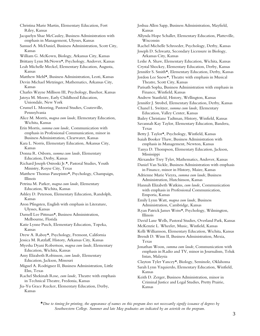Christina Marie Martin, Elementary Education, Fort Riley, Kansas

Jacquelyn Shae McCauley, Business Administration with emphasis in Management, Ulysses, Kansas

- Samuel A. McDaniel, Business Administration, Scott City, Kansas
- William G. McKown, Biology, Arkansas City, Kansas
- Brittany Lynn McNown\*, Psychology, Andover, Kansas Leah Michelle Meckel, Elementary Education, Augusta, Kansas
- Matthew Mehl\*, Business Administration, Leoti, Kansas
- Devin Michael Metzinger, Mathematics, Arkansas City, Kansas
- Charles Wayne Millison III, Psychology, Basehor, Kansas

Jatoya M. Moore, Early Childhood Education, Uniondale, New York

- Crumel L. Mooring, Pastoral Studies, Coatesville, Pennsylvania
- Alice M. Morris, *magna cum laude*, Elementary Education, Wichita, Kansas

Erin Morris, *summa cum laude,* Communication with emphasis in Professional Communication, minor in Business Administration, Clearwater, Kansas

Kara L. Norris, Elementary Education, Arkansas City, Kansas

Donna R. Osborn, *summa cum laude*, Elementary Education, Derby, Kansas

Richard Joseph Ostroski Jr.\*, Pastoral Studies, Youth Ministry, Royse City, Texas

Matthew Thomas Panepinto\*, Psychology, Champaign, Illinois

Petrina M. Parker, *magna cum laude*, Elementary Education, Wichita, Kansas

- Ashley D. Peterson, Elementary Education, Randolph, Kansas
- Aron Pfingsten, English with emphasis in Literature, Ulysses, Kansas
- Darnell Lee Pittman\*, Business Administration, Melbourne, Florida
- Katie Lynne Pusch, Elementary Education, Topeka, Kansas
- Drew A. Raboy\*, Psychology, Fremont, California
- Jessica M. Ratzlaff, History, Arkansas City, Kansas

Myesha Dyani Robertson, *magna cum laude*, Elementary Education, Wichita, Kansas

Amy Elizabeth Robinson, *cum laude,* Elementary Education, Jackson, Missouri

Miguel A. Rodriguez II, Business Administration, Little Elm, Texas

Rachel Shekinah Rose, *cum laude,* Theatre with emphasis in Technical Theatre, Fredonia, Kansas

Jia-Yu Grace Rucker, Elementary Education, Derby, Kansas

Joshua Allen Sapp, Business Administration, Mayfield, Kansas Allynda Hope Schaller, Elementary Education, Platteville, Wisconsin Rachel Michelle Schroeder, Psychology, Derby, Kansas Joseph D. Schwartz, Secondary Licensure in Biology, Arkansas City, Kansas Leslie A. Shaw, Elementary Education, Wichita, Kansas Crystal Shockey, Elementary Education, Derby, Kansas Jennifer S. Smith\*, Elementary Education, Derby, Kansas Jordon Lee Snow\*, Theatre with emphasis in Musical Theatre, Scott City, Kansas Parisath Sopha, Business Administration with emphasis in Finance, Winfield, Kansas Andrew Stanfield, History, Wellington, Kansas Jennifer J. Strobel, Elementary Education, Derby, Kansas Chanel L. Switzer, *summa cum laude,* Elementary Education, Valley Center, Kansas Bailey Christiane Tadtman, History, Winfield, Kansas Savannah Kay Taylor, Elementary Education, Bandera, Texas Betty J. Taylor\*, Psychology, Winfield, Kansas Isaiah Booker Thaw, Business Administration with emphasis in Management, Newton, Kansas Tanya D. Thompson, Elementary Education, Jackson, Mississippi Alexander Trey Tyler, Mathematics, Andover, Kansas Daniel Van Sickle, Business Administration with emphasis in Finance, minor in History, Maize, Kansas Adrienne Marie Vieyra, *summa cum laude*, Business Administration, Hutchinson, Kansas Hannah Elizabeth Watkins, *cum laude,* Communication with emphasis in Professional Communication, Emporia, Kansas Emily Lynn Watt, *magna cum laude,* Business Administration, Cambridge, Kansas Ryan Patrick James Weiss\*, Psychology, Wilmington, Illinois David Lane Wells, Pastoral Studies, Overland Park, Kansas McKenzie L. Wheeler, Music, Winfield, Kansas Kelli Williamson, Elementary Education, Wichita, Kansas Brendt D. Winn II, Business Administration, Mexia, Texas Jonathan Woon, *summa cum laude*, Communication with emphasis in Radio and TV, minor in Journalism, Teluk Intan, Malaysia Clayton Tyler Yancey\*, Biology, Seminole, Oklahoma Sarah Lynn Yzquierdo, Elementary Education, Winfield, Kansas Keith D. Zerger, Business Administration, minor in

Criminal Justice and Legal Studies, Pretty Prairie, Kansas

\**Due to timing for printing, the appearance of names on this program does not necessarily signify issuance of degrees by Southwestern College. Summer and late May graduates are indicated by an asterisk on the program.*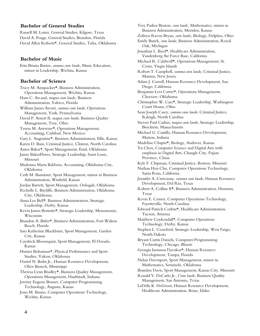#### **Bachelor of General Studies**

Russell M. Lester, General Studies, Kilgore, Texas David A. Poage, General Studies, Brandon, Florida David Allen Roberts\*, General Studies, Tulsa, Oklahoma

#### **Bachelor of Music**

Erin Briana Buster, *summa cum laude*, Music Education, minor in Leadership, Wichita, Kansas

#### **Bachelor of Science**

Tracy M. Amspacker\*, Business Administration, Operations Management, Wichita, Kansas

Hans C. Arcand, *magna cum laude,* Business Administration, Valrico, Florida

William James Arcuri, *summa cum laude*, Operations Management, York, Pennsylvania

David P. Arnett II, *magna cum laude*, Business Quality Management, Troy, Ohio

Teresa M. Arnwine\*, Operations Management, Accounting, Carlsbad, New Mexico

Gary L. Augustine\*, Business Administration, Ellis, Kansas

Karen D. Bain, Criminal Justice, Clinton, North Carolina

Amos Baker\*, Sport Management, Enid, Oklahoma

Jamie BakerFlores, Strategic Leadership, Saint Louis, Missouri

Madonna Maria Baldwin, Accounting, Oklahoma City, Oklahoma

Ceth M. Bannister, Sport Management, minor in Business Administration, Winfield, Kansas

Jordan Barrett, Sport Management, Oologah, Oklahoma

Richelle L. Bayliffe, Business Administration, Oklahoma City, Oklahoma

Anna Lee Bell\*, Business Administration, Strategic Leadership, Derby, Kansas

Kevin James Bertetto\*, Strategic Leadership, Menomonie, Wisconsin

Brandon A. Bitler\*, Business Administration, Fort Walton Beach, Florida

Sara Katherine Blackburn, Sport Management, Garden City, Kansas

Caydrick Bloomquist, Sport Management, El Dorado, Kansas

Hunter Bohannan\*, Physical Performance and Sport Studies, Yukon, Oklahoma

Daniel N. Bolin Jr., Human Resource Development, Olive Branch, Mississippi

Theresa Lynn Bradley\*, Business Quality Management, Operations Management, Haubstadt, Indiana

Jeremy Eugene Bruner, Computer Programming Technology, Augusta, Kansas

Jesus M. Bruno, Computer Operations Technology, Wichita, Kansas

Trey Parker Bruton, *cum laude,* Mathematics, minor in Business Administration, Meriden, Kansas Zefiryn Raven Bryan, *cum laude,* Biology, Delphos, Ohio Emily Burek, *cum laude*, Business Administration, Royal Oak, Michigan Jonathan L. Byrd\*, Healthcare Administration, Vandenberg Air Force Base, California Michael R. Caldwell\*, Operations Management, St. Croix, Virgin Islands Robert T. Campbell, *summa cum laude*, Criminal Justice, Mantua, New Jersey Adam J. Carroll, Human Resource Development, San Diego, California Benjamin Levi Carter\*, Operations Management, Choctaw, Oklahoma Christopher W. Case\*, Strategic Leadership, Washington Court House, Ohio Sean Joseph Casey, *summa cum laude*, Criminal Justice, Raleigh, North Carolina Steven Paul Caskin, *magna cum laude*, Strategic Leadership, Brockton, Massachusetts Michael G. Castillo, Human Resource Development, Marion, Indiana Madeline Chapin\*, Biology, Andover, Kansas Yu Chen, Computer Science and Digital Arts with emphasis in Digital Arts, Changle City, Fujian Province, China Kyle F. Chipman, Criminal Justice, Benton, Missouri Nathan Hsia Chu, Computer Operations Technology, Santa Rosa, California Jennifer A. Cirricione, *summa cum laude*, Human Resource Development, Del Rio, Texas Robert A. Collins II\*, Business Administration, Houston, Texas Kevin E. Comer, Computer Operations Technology, Fayetteville, North Carolina Edward Patrick Corbin\*, Healthcare Administration, Tucson, Arizona Matthew Coykendall\*, Computer Operations Technology, Derby, Kansas Stephen L. Crawford, Strategic Leadership, West Fargo, North Dakota Bryant Curtis Daniels, Computer Programming Technology, Chicago, Illinois Georgia Iaonnou Davakos\*, Human Resource Development, Tampa, Florida Nolan Davenport, Sport Management, minor in Mathematics, Seminole, Oklahoma Branden Davis, Sport Management, Kansas City, Missouri Ronald V. DeCarlo Jr., *Cum laude*, Business Quality Management, San Antonio, Texas LaDella K. DeGroot, Human Resource Development,

Healthcare Administration, Boise, Idaho

4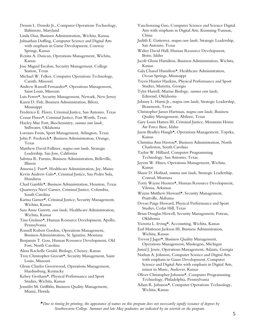- Dennis L. Demski Jr., Computer Operations Technology, Baltimore, Maryland
- Linda Diaz, Business Administration, Wichita, Kansas
- Johnathan Doffing, Computer Science and Digital Arts with emphasis in Game Development, Conway Springs, Kansas
- Renita A. Duncan, Operations Management, Wichita, Kansas
- Jose Miguel Escalon, Security Management, College Station, Texas
- Michael W. Felker, Computer Operations Technology, Caruth, Missouri
- Andrew Russell Fernandez\*, Operations Management, Saint Louis, Missouri
- Luis Ferrer\*, Security Management, Newark, New Jersey
- Karen D. Fish, Business Administration, Biloxi, Mississippi
- Frederico E. Flores, Criminal Justice, San Antonio, Texas
- Ceasar Flores\*, Criminal Justice, Fort Worth, Texas Hayley Mae Fort, Biochemistry, *summa cum laude,*
- Stillwater, Oklahoma
- Lorenzo Fouts, Sport Management, Arlington, Texas
- John P. Frederick\*, Business Administration, Orange, Texas
- Matthew David Fullmer, *magna cum laude*, Strategic Leadership, San Jose, California
- Sabrina R. Furniss, Business Administration, Belleville, Illinois
- Annessa J. Furr\*, Healthcare Administration, Jay, Maine
- Kevin Andrew Galo\*, Criminal Justice, San Pedro Sula, Honduras
- Chad Gamble\*, Business Administration, Houston, Texas
- Quarteeya Navi' Garner, Criminal Justice, Columbia, South Carolina
- Karina Garner\*, Criminal Justice, Security Management, Wichita, Kansas
- Sara Anne Garrett, *cum laude*, Healthcare Administration, Wichita, Kansas
- Tina Girdano\*, Human Resource Development, Apollo, Pennsylvania
- Russell Robert Gordon, Operations Management, Business Administration, St. Ignatius, Montana
- Benjamin T. Goss, Human Resource Development, Old Fort, North Carolina
- Alissa Rachelle Gould, Biology, Cheney, Kansas
- Troy Christopher Gravatt\*, Security Management, Saint Louis, Missouri
- Glenn Charles Greenwood, Operations Management, Hardinsburg, Kentucky
- Kelsey Gresham\*, Physical Performance and Sport Studies, Wichita, Kansas
- Jennifer M. Griffiths, Business Quality Management, Miami, Florida
- Yanchenxing Guo, Computer Science and Science Digital Arts with emphasis in Digital Arts, Kunming Yunnan, China
- Judith E. Gutierrez, *magna cum laude*, Strategic Leadership, San Antonio, Texas
- Walter David Hall, Human Resource Development, Boise, Idaho
- Jacob Glenn Hamilton, Business Administration, Wichita, Kansas
- Gala Chanel Hamilton\*, Healthcare Administration, Ocean Springs, Mississippi
- Travis Hunter Hankins, Physical Performance and Sport Studies, Marietta, Georgia
- Tyler Harrell, Marine Biology, *summa cum laude,*  Edmond, Oklahoma
- Johnny L. Harris Jr., *magna cum laude*, Strategic Leadership, Beaumont, Texas
- Christopher James Hartman, *magna cum laude*, Business Quality Management, Abilene, Texas
- Gary Louis Hatten III, Criminal Justice, Mountain Home Air Force Base, Idaho
- Jason Bradley Haugh\*, Operations Management, Topeka, Kansas
- Christina Ann Herron\*, Business Administration, North Charleston, South Carolina
- Taylor W. Hilliard, Computer Programming Technology, San Antonio, Texas
- Jayson W. Hines, Operations Management, Wichita, Kansas
- Shane D. Hofstad, *summa cum laude*, Strategic Leadership, Conrad, Montana
- Terry Wayne Hooten\*, Human Resource Development, Vilonia, Arkansas
- Wayne Mstthew Howard\*, Security Management, Prattville, Alabama
- Devan Paige Howard, Physical Performance and Sport Studies, Cedar Hill, Texas
- Brian Douglas Howell, Security Management, Poteau, Oklahoma
- Victoria L. Irving\*, Accounting, Wichita, Kansas
- Earl Matteson Jackson III, Business Administration, Wichita, Kansas

Trevor J Jager\*, Business Quality Management, Operations Management, Muskegon, Michigan

Jamal J. Jessie, Operations Management, Atlanta, Georgia

- Nathan A. Johnson, Computer Science and Digital Arts with emphasis in Game Development, Computer Science and Digital Arts with emphasis in Digital Arts, minor in Music, Andover, Kansas
- Oliver Christopher Johnson\*, Computer Programming Technology, Philadelphia, Pennsylvania
- Adam R. Johnson\*, Computer Operations Technology, Wichita, Kansas
- \**Due to timing for printing, the appearance of names on this program does not necessarily signify issuance of degrees by Southwestern College. Summer and late May graduates are indicated by an asterisk on the program.*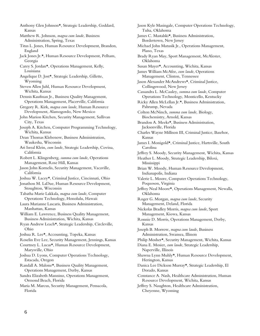- Anthony Glen Johnson\*, Strategic Leadership, Goddard, Kansas
- Matthew R. Johnson, *magna cum laude*, Business Administration, Spring, Texas
- Titus L. Jones, Human Resource Development, Brandon, England
- Jack Jones Jr.\*, Human Resource Development, Pelham, Georgia
- Carey S. Jordan\*, Operations Management, Kelly, Louisiana
- Angelique D. Jost\*, Strategic Leadership, Gillette, Wyoming
- Steven Allen Juhl, Human Resource Development, Wichita, Kansas
- Dennis Kaufman Jr., Business Quality Management, Operations Management, Placerville, California
- Gregory R. Kirk, *magna cum laude*, Human Resource Development, Alamogordo, New Mexico
- John Marion Kitchen, Security Management, Sullivan City, Texas
- Joseph A. Kitchen, Computer Programming Technology, Wichita, Kansas
- Dean Thomas Klebenow, Business Administration, Waukesha, Wisconsin
- Ari Isreal Klein, *cum laude*, Strategic Leadership, Covina, California
- Robert L. Klingenberg, *summa cum laude*, Operations Management, Rose Hill, Kansas
- Jason John Kornelis, Security Management, Vacaville, California
- Joshua W. Lacey\*, Criminal Justice, Cincinnati, Ohio
- Jonathon M. LaDue, Human Resource Development, Stoughton, Wisconsin
- Tabatha Marie Lakkala, *magna cum laude*, Computer Operations Technology, Honolulu, Hawaii
- Laura Marianne Lascaris, Business Administration, Manhattan, Kansas
- William E. Lawrence, Business Quality Management, Business Administration, Wichita, Kansas
- Ryan Andrew Leach\*, Strategic Leadership, Circleville, Ohio
- Joshua R. Lee\*, Accounting, Topeka, Kansas
- Roselin Eve Lee, Security Management, Jennings, Kansas
- Courtney L. Lucas\*, Human Resource Development, Marysville, Ohio
- Joshua D. Lyons, Computer Operations Technology, Estacada, Oregon
- Randall A. Malone\*, Business Quality Management, Operations Management, Derby, Kansas
- Sandra Elizabeth Mannino, Operations Management, Ormond Beach, Florida
- Maria M. Marcus, Security Management, Pensacola, Florida

Jason Kyle Masingale, Computer Operations Technology, Tulsa, Oklahoma James C. Mastalski\*, Business Administration, Bordertown, New Jersey Michael John Matusik Jr., Operations Management, Plano, Texas Brady Ryan May, Sport Management, McAlester, Oklahoma Susan Mayer\*, Accounting, Wichita, Kansas James William McAfee, *cum laude*, Operations Management, Clinton, Tennessee Jason Alexander McAndrews\*, Criminal Justice, Collingswood, New Jersey Cassandra L. McCauley, *summa cum laude*, Computer Operations Technology, Monticello, Kentucky Ricky Allen McLellan Jr.\*, Business Administration, Pahrump, Nevada Colton McNinch, *summa cum laude,* Biology, Biochemistry, Arnold, Kansas Brandon A. Meeks\*, Business Administration, Jacksonville, Florida Charles Wayne Millison III, Criminal Justice, Basehor, Kansas James I. Monigold\*, Criminal Justice, Hartsville, South Carolina Jeffrey S. Moody, Security Management, Wichita, Kansas Heather L. Moody, Strategic Leadership, Biloxi, Mississippi Brian W. Moody, Human Resource Development, Indianapolis, Indiana Valerie L. Moore, Computer Operations Technology, Poquoson, Virginia Jeffrey Neal Moore\*, Operations Management, Newalla, Oklahoma Roger G. Morgan, *magna cum laude*, Security Management, Deland, Florida Nickolas Bradley Morris, *magna cum laude*, Sport Management, Kiowa, Kansas Ronnie D. Morris, Operations Management, Derby, Kansas Joseph B. Morrow, *magna cum laude*, Business Administration, Swansea, Illinois Philip Mosher\*, Security Management, Wichita, Kansas Diana E. Mosier, *cum laude*, Strategic Leadership, Naperville, Illinois Shawna Lynn Muhly\*, Human Resource Development, Herington, Kansas Danica Lee Dickson Murray\*, Strategic Leadership, El Dorado, Kansas Constance A. Nash, Healthcare Administration, Human Resource Development, Wichita, Kansas Jeffrey S. Naughton, Healthcare Administration, Cheyenne, Wyoming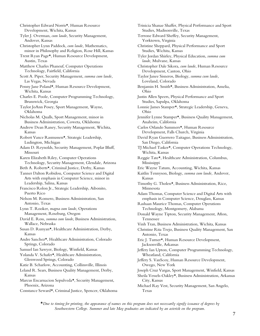Christopher Edward Norris\*, Human Resource Development, Wichita, Kansas

Tyler J. Overman, *cum laude*, Security Management, Andover, Kansas

Christopher Lynn Paddock, *cum laude,* Mathematics, minor in Philosophy and Religion, Rose Hill, Kansas

Trent Ryan Page\*, Human Resource Development, Austin, Texas

Matthew Charles Phaneuf, Computer Operations Technology, Fairfield, California

Scott A. Piper, Security Management, *summa cum laude,*  Las Vegas, Nevada

Penny Jane Poland\*, Human Resource Development, Wichita, Kansas

Charles E. Poole, Computer Programming Technology, Brunswick, Georgia

Taylor JoAnn Posey, Sport Management, Wayne, Oklahoma

Nicholas M. Qualls, Sport Management, minor in Business Administration, Coweta, Oklahoma

Andrew Dean Raney, Security Management, Wichita, Kansas

Robert Vance Rasmussen\*, Strategic Leadership, Ludington, Michigan

Adam D. Reynolds, Security Management, Poplar Bluff, Missouri

Karen Elizabeth Riley, Computer Operations Technology, Security Management, Glendale, Arizona

Beth A. Roberts\*, Criminal Justice, Derby, Kansas

Tanner Dalton Robidou, Computer Science and Digital Arts with emphasis in Computer Science, minor in Leadership, Salina, Kansas

Francisco Rolon Jr., Strategic Leadership, Aibonito, Puerto Rico

Nelson M. Romero, Business Administration, San Antonio, Texas

Lynn T. Rooker, *magna cum laude*, Operations Management, Roseburg, Oregon

David E. Ross, *summa cum laude*, Business Administration, Wallace, Nebraska

Susan D. Runyan\*, Healthcare Administration, Derby, Kansas

Andre Sanchez\*, Healthcare Administration, Colorado Springs, Colorado

Samuel Ian Sawyer, Biology, Winfield, Kansas

Yolanda V. Schafer\*, Healthcare Administration, Glenwood Springs, Colorado

Katie B. Scharlow, Accounting, Collinsville, Illinois

Leland R. Sears, Business Quality Management, Derby, Kansas

Marcus Encarnacion Sepulveda\*, Security Management, Phoenix, Arizona

Constance Seward\*, Criminal Justice, Spencer, Oklahoma

Trinicia Shanae Shaffer, Physical Performance and Sport Studies, Madisonville, Texas Terrone Edward Sheffey, Security Management, Yorktown, Virginia Christine Sheppard, Physical Performance and Sport Studies, Wichita, Kansas Tyler Jordan Shirley, Physical Education, *summa cum laude,* Mulvane, Kansas Christopher Dale Sikora, *cum laude*, Human Resource Development, Canton, Ohio Taylor Janee Sisneros, Biology, *summa cum laude,*  Loveland, Colorado Benjamin H. Smith\*, Business Administration, Amelia, Ohio Justin Allen Speers, Physical Performance and Sport Studies, Sapulpa, Oklahoma Lonnie James Stamper\*, Strategic Leadership, Geneva, Ohio Jennifer Lynne Stamper\*, Business Quality Management, Anaheim, California Carlos Orlando Summers\*, Human Resource Development, Falls Church, Virginia David Ryan Guerrero Taitague, Business Administration, San Diego, California TJ Michael Tasker\*, Computer Operations Technology, Wichita, Kansas Reggie Tate\*, Healthcare Administration, Columbus, Mississippi Eric Wayne Tatum, Accounting, Wichita, Kansas Kaitlin Tennyson, Biology, *summa cum laude,* Andover, Kansas Timothy G. Tholen\*, Business Administration, Rice, Minnesota Adam Thomas, Computer Science and Digital Arts with emphasis in Computer Science, Douglass, Kansas Rashaan Maurice Thomas, Computer Operations Technology, Montgomery, Alabama Donald Wayne Tipton, Security Management, Afton, Tennessee Vinh Tran, Business Administration, Wichita, Kansas Christine Rita Trejo, Business Quality Management, San Antonio, Texas Eric J. Turner\*, Human Resource Development, Jacksonville, Arkansas Jeffery Ian Upton, Computer Programming Technology, Wheatland, California Jeffery S. VanScoy, Human Resource Development, Owego, New York Joseph Cruz Vargas, Sport Management, Winfield, Kansas

Sheila Vessels-Oakley\*, Business Administration, Arkansas City, Kansas

Michael Ray Vest, Security Management, San Angelo, Texas

\**Due to timing for printing, the appearance of names on this program does not necessarily signify issuance of degrees by Southwestern College. Summer and late May graduates are indicated by an asterisk on the program.*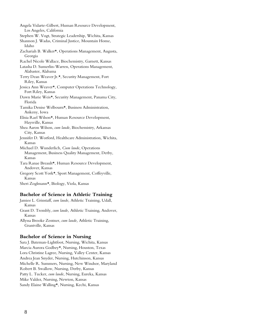- Angela Vidarte-Gilbert, Human Resource Development, Los Angeles, California
- Stephen W. Vogt, Strategic Leadership, Wichita, Kansas
- Shannon J. Wadas, Criminal Justice, Mountain Home, Idaho
- Zachariah B. Walker\*, Operations Management, Augusta, Georgia
- Rachel Nicole Wallace, Biochemistry, Garnett, Kansas
- Latasha D. Sumerlin-Warren, Operations Management, Alabaster, Alabama
- Terry Dean Weaver Jr.\*, Security Management, Fort Riley, Kansas
- Jessica Ann Weaver\*, Computer Operations Technology, Fort Riley, Kansas
- Dawn Marie Weis\*, Security Management, Panama City, Florida
- Tamika Denise Welbourn\*, Business Administration, Ankeny, Iowa
- Elisia Rael Wilson\*, Human Resource Development, Haysville, Kansas
- Shea Aaron Wilson, *cum laude*, Biochemistry, Arkansas City, Kansas
- Jennifer D. Worford, Healthcare Administration, Wichita, Kansas
- Michael D. Wunderlich, *Cum laude*, Operations Management, Business Quality Management, Derby, Kansas
- Tara Ranae Breault\*, Human Resource Development, Andover, Kansas
- Gregory Scott York\*, Sport Management, Coffeyville, Kansas
- Sheri Zoglmann\*, Biology, Viola, Kansas

#### **Bachelor of Science in Athletic Training**

- Jamiee L. Grinstaff, *cum laude,* Athletic Training, Udall, Kansas
- Grant D. Trembly, *cum laude,* Athletic Training, Andover, Kansas
- Allyssa Brooke Zentner, *cum laude,* Athletic Training, Grantville, Kansas

#### **Bachelor of Science in Nursing**

Sara J. Bateman-Lightfoot, Nursing, Wichita, Kansas Marcia Aurora Godbey\*, Nursing, Houston, Texas Lora Christine Lagree, Nursing, Valley Center, Kansas Andrea Jean Snyder, Nursing, Hutchinson, Kansas Michelle R. Summers, Nursing, New Windsor, Maryland Robert B. Swallow, Nursing, Derby, Kansas Patty L. Tucker, *cum laude*, Nursing, Eureka, Kansas Mike Valdez, Nursing, Newton, Kansas Sandy Elaine Walling\*, Nursing, Kechi, Kansas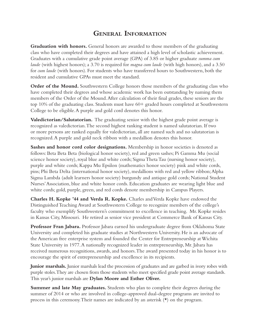### **General Information**

Graduation with honors. General honors are awarded to those members of the graduating class who have completed their degrees and have attained a high level of scholastic achievement. Graduates with a cumulative grade point average (GPA) of 3.85 or higher graduate *summa cum laude* (with highest honors); a 3.70 is required for *magna cum laude* (with high honors), and a 3.50 for *cum laude* (with honors). For students who have transferred hours to Southwestern, both the resident and cumulative GPAs must meet the standard.

**Order of the Mound.** Southwestern College honors those members of the graduating class who have completed their degrees and whose academic work has been outstanding by naming them members of the Order of the Mound. After calculation of their final grades, these seniors are the top 10% of the graduating class. Students must have 60+ graded hours completed at Southwestern College to be eligible. A purple and gold cord denotes this honor.

**Valedictorian/Salutatorian.** The graduating senior with the highest grade point average is recognized as valedictorian. The second highest ranking student is named salutatorian. If two or more persons are ranked equally for valedictorian, all are named such and no salutatorian is recognized. A purple and gold neck ribbon with a medallion denotes this honor.

**Sashes and honor cord color designations.** Membership in honor societies is denoted as follows: Beta Beta Beta (biological honor society), red and green sashes; Pi Gamma Mu (social science honor society), royal blue and white cords; Sigma Theta Tau (nursing honor society), purple and white cords; Kappa Mu Epsilon (mathematics honor society) pink and white cords, pins; Phi Beta Delta (international honor society), medallions with red and yellow ribbon; Alpha Sigma Lambda (adult learners honor society) burgundy and antique gold cords; National Student Nurses' Association, blue and white honor cords. Education graduates are wearing light blue and white cords; gold, purple, green, and red cords denote membership in Campus Players.

**Charles H. Kopke '44 and Verda R. Kopke.** Charles and Verda Kopke have endowed the Distinguished Teaching Award at Southwestern College to recognize members of the college's faculty who exemplify Southwestern's commitment to excellence in teaching. Mr. Kopke resides in Kansas City, Missouri. He retired as senior vice president at Commerce Bank of Kansas City.

**Professor Fran Jabara.** Professor Jabara earned his undergraduate degree from Oklahoma State University and completed his graduate studies at Northwestern University. He is an advocate of the American free enterprise system and founded the Center for Entrepreneurship at Wichita State University in 1977. A nationally recognized leader in entrepreneurship, Mr. Jabara has received numerous recognitions, awards, and honors. The award presented today in his honor is to encourage the spirit of entrepreneurship and excellence in its recipients.

**Junior marshals.** Junior marshals lead the procession of graduates and are garbed in ivory robes with purple stoles. They are chosen from those students who meet specified grade point average standards. This year's junior marshals are **Dylan Moore and Esther Oliver.**

**Summer and late May graduates.** Students who plan to complete their degrees during the summer of 2014 or who are involved in college-approved dual-degree programs are invited to process in this ceremony. Their names are indicated by an asterisk  $(\star)$  on the program.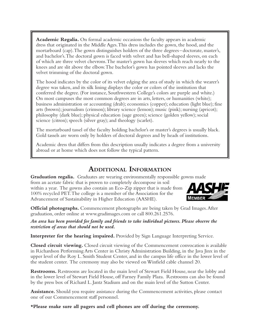**Academic Regalia.** On formal academic occasions the faculty appears in academic dress that originated in the Middle Ages. This dress includes the gown, the hood, and the mortarboard (cap). The gown distinguishes holders of the three degrees –doctorate, master's, and bachelor's. The doctoral gown is faced with velvet and has bell-shaped sleeves, on each of which are three velvet chevrons. The master's gown has sleeves which reach nearly to the knees and are slit above the elbow. The bachelor's gown has pointed sleeves and lacks the velvet trimming of the doctoral gown.

The hood indicates by the color of its velvet edging the area of study in which the wearer's degree was taken, and its silk lining displays the color or colors of the institution that conferred the degree. (For instance, Southwestern College's colors are purple and white.) On most campuses the most common degrees are in arts, letters, or humanities (white); business administration or accounting (drab); economics (copper); education (light blue); fine arts (brown); journalism (crimson); library science (lemon); music (pink); nursing (apricot); philosophy (dark blue); physical education (sage green); science (golden yellow); social science (citron); speech (silver gray); and theology (scarlet).

The mortarboard tassel of the faculty holding bachelor's or master's degrees is usually black. Gold tassels are worn only by holders of doctoral degrees and by heads of institutions.

Academic dress that differs from this description usually indicates a degree from a university abroad or at home which does not follow the typical pattern.

### **Additional Information**

**Graduation regalia.** Graduates are wearing environmentally responsible gowns made

from an acetate fabric that is proven to completely decompose in soil within a year. The gowns also contain an Eco-Zip zipper that is made from 100% recycled PET. The college is a member of the Association for the Advancement of Sustainability in Higher Education (AASHE).



**Official photographs.** Commencement photographs are being taken by Grad Images. After graduation, order online at www.gradimages.com or call 800.261.2576.

*An area has been provided for family and friends to take individual pictures. Please observe the restriction of areas that should not be used.*

**Interpreter for the hearing impaired.** Provided by Sign Language Interpreting Service.

**Closed circuit viewing.** Closed circuit viewing of the Commencement convocation is available in Richardson Performing Arts Center in Christy Administration Building, in the Java Jinx in the upper level of the Roy L. Smith Student Center, and in the campus life office in the lower level of the student center. The ceremony may also be viewed on Winfield cable channel 20.

**Restrooms.** Restrooms are located in the main level of Stewart Field House, near the lobby and in the lower level of Stewart Field House, off Farney Family Plaza. Restrooms can also be found by the press box of Richard L. Jantz Stadium and on the main level of the Sutton Center.

**Assistance.** Should you require assistance during the Commencement activities, please contact one of our Commencement staff personnel.

**\*Please make sure all pagers and cell phones are off during the ceremony.**